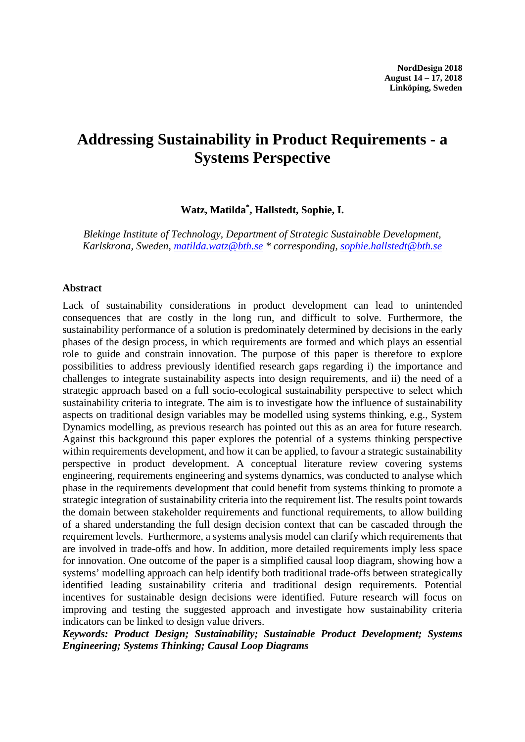# **Addressing Sustainability in Product Requirements - a Systems Perspective**

### **Watz, Matilda\*, Hallstedt, Sophie, I.**

*Blekinge Institute of Technology, Department of Strategic Sustainable Development, Karlskrona, Sweden, [matilda.watz@bth.se](mailto:matilda.watz@bth.se) \* corresponding, [sophie.hallstedt@bth.se](mailto:sophie.hallstedt@bth.se)*

#### **Abstract**

Lack of sustainability considerations in product development can lead to unintended consequences that are costly in the long run, and difficult to solve. Furthermore, the sustainability performance of a solution is predominately determined by decisions in the early phases of the design process, in which requirements are formed and which plays an essential role to guide and constrain innovation. The purpose of this paper is therefore to explore possibilities to address previously identified research gaps regarding i) the importance and challenges to integrate sustainability aspects into design requirements, and ii) the need of a strategic approach based on a full socio-ecological sustainability perspective to select which sustainability criteria to integrate. The aim is to investigate how the influence of sustainability aspects on traditional design variables may be modelled using systems thinking, e.g., System Dynamics modelling, as previous research has pointed out this as an area for future research. Against this background this paper explores the potential of a systems thinking perspective within requirements development, and how it can be applied, to favour a strategic sustainability perspective in product development. A conceptual literature review covering systems engineering, requirements engineering and systems dynamics, was conducted to analyse which phase in the requirements development that could benefit from systems thinking to promote a strategic integration of sustainability criteria into the requirement list. The results point towards the domain between stakeholder requirements and functional requirements, to allow building of a shared understanding the full design decision context that can be cascaded through the requirement levels. Furthermore, a systems analysis model can clarify which requirements that are involved in trade-offs and how. In addition, more detailed requirements imply less space for innovation. One outcome of the paper is a simplified causal loop diagram, showing how a systems' modelling approach can help identify both traditional trade-offs between strategically identified leading sustainability criteria and traditional design requirements. Potential incentives for sustainable design decisions were identified. Future research will focus on improving and testing the suggested approach and investigate how sustainability criteria indicators can be linked to design value drivers.

*Keywords: Product Design; Sustainability; Sustainable Product Development; Systems Engineering; Systems Thinking; Causal Loop Diagrams*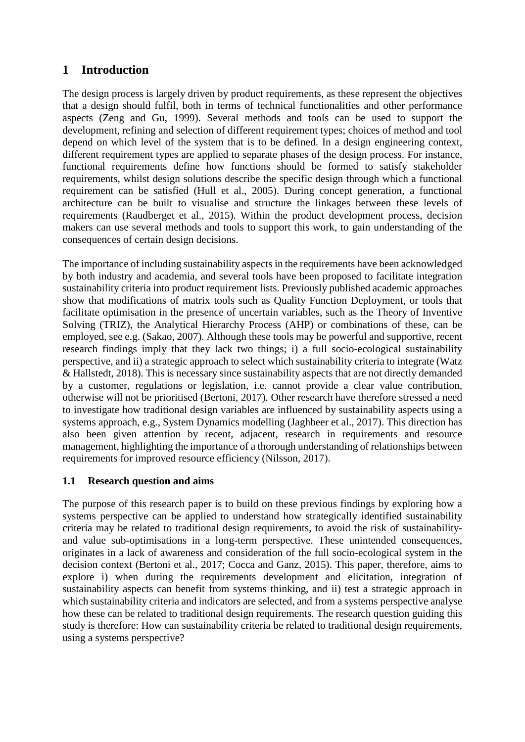# **1 Introduction**

The design process is largely driven by product requirements, as these represent the objectives that a design should fulfil, both in terms of technical functionalities and other performance aspects (Zeng and Gu, 1999). Several methods and tools can be used to support the development, refining and selection of different requirement types; choices of method and tool depend on which level of the system that is to be defined. In a design engineering context, different requirement types are applied to separate phases of the design process. For instance, functional requirements define how functions should be formed to satisfy stakeholder requirements, whilst design solutions describe the specific design through which a functional requirement can be satisfied (Hull et al., 2005). During concept generation, a functional architecture can be built to visualise and structure the linkages between these levels of requirements (Raudberget et al., 2015). Within the product development process, decision makers can use several methods and tools to support this work, to gain understanding of the consequences of certain design decisions.

The importance of including sustainability aspects in the requirements have been acknowledged by both industry and academia, and several tools have been proposed to facilitate integration sustainability criteria into product requirement lists. Previously published academic approaches show that modifications of matrix tools such as Quality Function Deployment, or tools that facilitate optimisation in the presence of uncertain variables, such as the Theory of Inventive Solving (TRIZ), the Analytical Hierarchy Process (AHP) or combinations of these, can be employed, see e.g. (Sakao, 2007). Although these tools may be powerful and supportive, recent research findings imply that they lack two things; i) a full socio-ecological sustainability perspective, and ii) a strategic approach to select which sustainability criteria to integrate (Watz & Hallstedt, 2018). This is necessary since sustainability aspects that are not directly demanded by a customer, regulations or legislation, i.e. cannot provide a clear value contribution, otherwise will not be prioritised (Bertoni, 2017). Other research have therefore stressed a need to investigate how traditional design variables are influenced by sustainability aspects using a systems approach, e.g., System Dynamics modelling (Jaghbeer et al., 2017). This direction has also been given attention by recent, adjacent, research in requirements and resource management, highlighting the importance of a thorough understanding of relationships between requirements for improved resource efficiency (Nilsson, 2017).

### **1.1 Research question and aims**

The purpose of this research paper is to build on these previous findings by exploring how a systems perspective can be applied to understand how strategically identified sustainability criteria may be related to traditional design requirements, to avoid the risk of sustainabilityand value sub-optimisations in a long-term perspective. These unintended consequences, originates in a lack of awareness and consideration of the full socio-ecological system in the decision context (Bertoni et al., 2017; Cocca and Ganz, 2015). This paper, therefore, aims to explore i) when during the requirements development and elicitation, integration of sustainability aspects can benefit from systems thinking, and ii) test a strategic approach in which sustainability criteria and indicators are selected, and from a systems perspective analyse how these can be related to traditional design requirements. The research question guiding this study is therefore: How can sustainability criteria be related to traditional design requirements, using a systems perspective?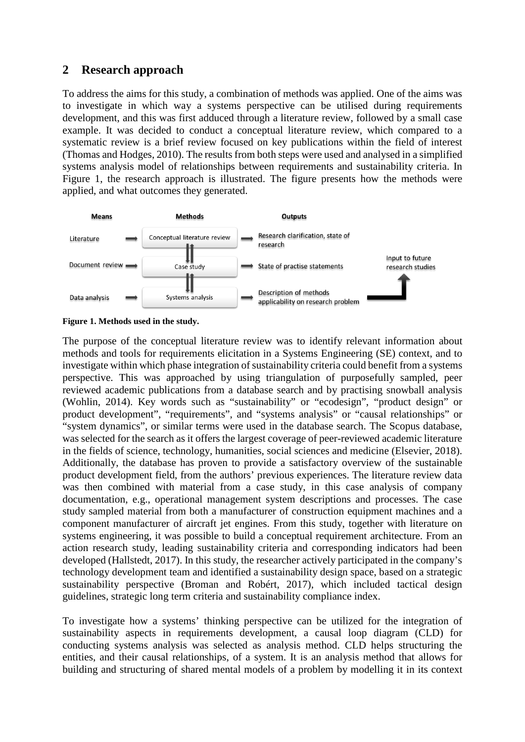### **2 Research approach**

To address the aims for this study, a combination of methods was applied. One of the aims was to investigate in which way a systems perspective can be utilised during requirements development, and this was first adduced through a literature review, followed by a small case example. It was decided to conduct a conceptual literature review, which compared to a systematic review is a brief review focused on key publications within the field of interest (Thomas and Hodges, 2010). The results from both steps were used and analysed in a simplified systems analysis model of relationships between requirements and sustainability criteria. In Figure 1, the research approach is illustrated. The figure presents how the methods were applied, and what outcomes they generated.



**Figure 1. Methods used in the study.**

The purpose of the conceptual literature review was to identify relevant information about methods and tools for requirements elicitation in a Systems Engineering (SE) context, and to investigate within which phase integration of sustainability criteria could benefit from a systems perspective. This was approached by using triangulation of purposefully sampled, peer reviewed academic publications from a database search and by practising snowball analysis (Wohlin, 2014). Key words such as "sustainability" or "ecodesign", "product design" or product development", "requirements", and "systems analysis" or "causal relationships" or "system dynamics", or similar terms were used in the database search. The Scopus database, was selected for the search as it offers the largest coverage of peer-reviewed academic literature in the fields of science, technology, humanities, social sciences and medicine (Elsevier, 2018). Additionally, the database has proven to provide a satisfactory overview of the sustainable product development field, from the authors' previous experiences. The literature review data was then combined with material from a case study, in this case analysis of company documentation, e.g., operational management system descriptions and processes. The case study sampled material from both a manufacturer of construction equipment machines and a component manufacturer of aircraft jet engines. From this study, together with literature on systems engineering, it was possible to build a conceptual requirement architecture. From an action research study, leading sustainability criteria and corresponding indicators had been developed (Hallstedt, 2017). In this study, the researcher actively participated in the company's technology development team and identified a sustainability design space, based on a strategic sustainability perspective (Broman and Robért, 2017), which included tactical design guidelines, strategic long term criteria and sustainability compliance index.

To investigate how a systems' thinking perspective can be utilized for the integration of sustainability aspects in requirements development, a causal loop diagram (CLD) for conducting systems analysis was selected as analysis method. CLD helps structuring the entities, and their causal relationships, of a system. It is an analysis method that allows for building and structuring of shared mental models of a problem by modelling it in its context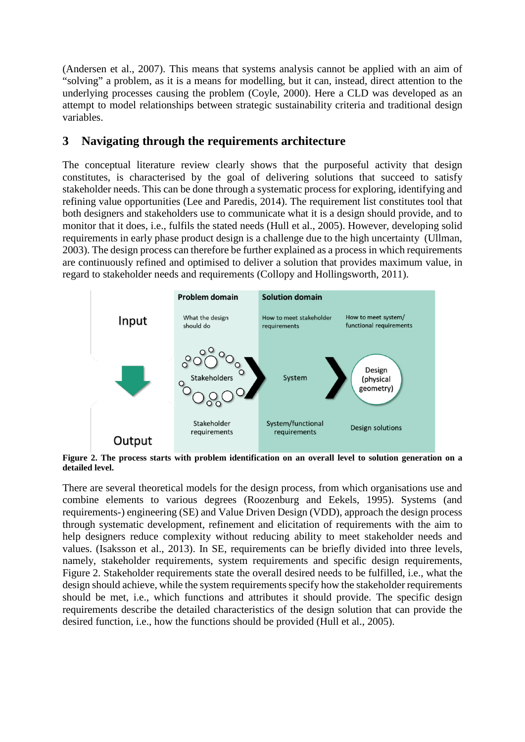(Andersen et al., 2007). This means that systems analysis cannot be applied with an aim of "solving" a problem, as it is a means for modelling, but it can, instead, direct attention to the underlying processes causing the problem (Coyle, 2000). Here a CLD was developed as an attempt to model relationships between strategic sustainability criteria and traditional design variables.

# **3 Navigating through the requirements architecture**

The conceptual literature review clearly shows that the purposeful activity that design constitutes, is characterised by the goal of delivering solutions that succeed to satisfy stakeholder needs. This can be done through a systematic process for exploring, identifying and refining value opportunities (Lee and Paredis, 2014). The requirement list constitutes tool that both designers and stakeholders use to communicate what it is a design should provide, and to monitor that it does, i.e., fulfils the stated needs (Hull et al., 2005). However, developing solid requirements in early phase product design is a challenge due to the high uncertainty (Ullman, 2003). The design process can therefore be further explained as a process in which requirements are continuously refined and optimised to deliver a solution that provides maximum value, in regard to stakeholder needs and requirements (Collopy and Hollingsworth, 2011).



**Figure 2. The process starts with problem identification on an overall level to solution generation on a detailed level.**

There are several theoretical models for the design process, from which organisations use and combine elements to various degrees (Roozenburg and Eekels, 1995). Systems (and requirements-) engineering (SE) and Value Driven Design (VDD), approach the design process through systematic development, refinement and elicitation of requirements with the aim to help designers reduce complexity without reducing ability to meet stakeholder needs and values. (Isaksson et al., 2013). In SE, requirements can be briefly divided into three levels, namely, stakeholder requirements, system requirements and specific design requirements, Figure 2. Stakeholder requirements state the overall desired needs to be fulfilled, i.e., what the design should achieve, while the system requirements specify how the stakeholder requirements should be met, i.e., which functions and attributes it should provide. The specific design requirements describe the detailed characteristics of the design solution that can provide the desired function, i.e., how the functions should be provided (Hull et al., 2005).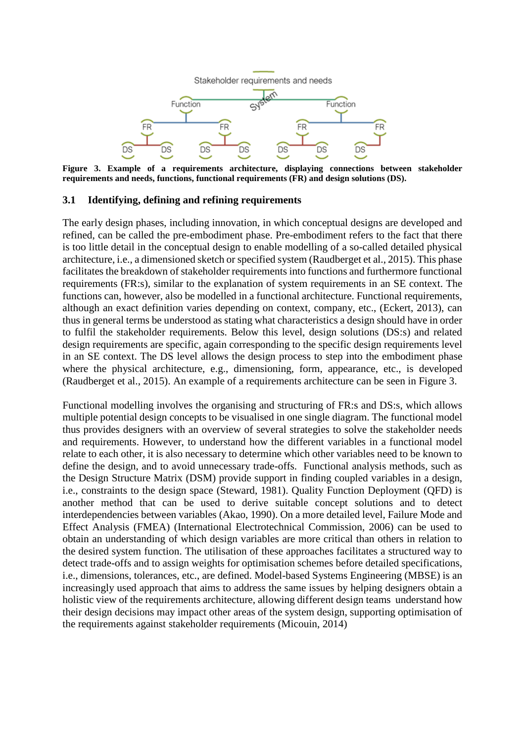

**Figure 3. Example of a requirements architecture, displaying connections between stakeholder requirements and needs, functions, functional requirements (FR) and design solutions (DS).**

#### **3.1 Identifying, defining and refining requirements**

The early design phases, including innovation, in which conceptual designs are developed and refined, can be called the pre-embodiment phase. Pre-embodiment refers to the fact that there is too little detail in the conceptual design to enable modelling of a so-called detailed physical architecture, i.e., a dimensioned sketch or specified system (Raudberget et al., 2015). This phase facilitates the breakdown of stakeholder requirements into functions and furthermore functional requirements (FR:s), similar to the explanation of system requirements in an SE context. The functions can, however, also be modelled in a functional architecture. Functional requirements, although an exact definition varies depending on context, company, etc., (Eckert, 2013), can thus in general terms be understood as stating what characteristics a design should have in order to fulfil the stakeholder requirements. Below this level, design solutions (DS:s) and related design requirements are specific, again corresponding to the specific design requirements level in an SE context. The DS level allows the design process to step into the embodiment phase where the physical architecture, e.g., dimensioning, form, appearance, etc., is developed (Raudberget et al., 2015). An example of a requirements architecture can be seen in Figure 3.

Functional modelling involves the organising and structuring of FR:s and DS:s, which allows multiple potential design concepts to be visualised in one single diagram. The functional model thus provides designers with an overview of several strategies to solve the stakeholder needs and requirements. However, to understand how the different variables in a functional model relate to each other, it is also necessary to determine which other variables need to be known to define the design, and to avoid unnecessary trade-offs. Functional analysis methods, such as the Design Structure Matrix (DSM) provide support in finding coupled variables in a design, i.e., constraints to the design space (Steward, 1981). Quality Function Deployment (QFD) is another method that can be used to derive suitable concept solutions and to detect interdependencies between variables (Akao, 1990). On a more detailed level, Failure Mode and Effect Analysis (FMEA) (International Electrotechnical Commission, 2006) can be used to obtain an understanding of which design variables are more critical than others in relation to the desired system function. The utilisation of these approaches facilitates a structured way to detect trade-offs and to assign weights for optimisation schemes before detailed specifications, i.e., dimensions, tolerances, etc., are defined. Model-based Systems Engineering (MBSE) is an increasingly used approach that aims to address the same issues by helping designers obtain a holistic view of the requirements architecture, allowing different design teams understand how their design decisions may impact other areas of the system design, supporting optimisation of the requirements against stakeholder requirements (Micouin, 2014)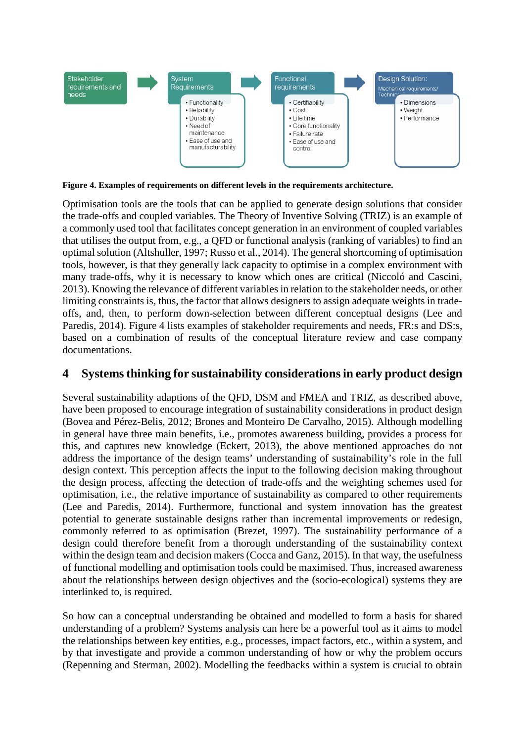

**Figure 4. Examples of requirements on different levels in the requirements architecture.**

Optimisation tools are the tools that can be applied to generate design solutions that consider the trade-offs and coupled variables. The Theory of Inventive Solving (TRIZ) is an example of a commonly used tool that facilitates concept generation in an environment of coupled variables that utilises the output from, e.g., a QFD or functional analysis (ranking of variables) to find an optimal solution (Altshuller, 1997; Russo et al., 2014). The general shortcoming of optimisation tools, however, is that they generally lack capacity to optimise in a complex environment with many trade-offs, why it is necessary to know which ones are critical (Niccoló and Cascini, 2013). Knowing the relevance of different variablesin relation to the stakeholder needs, or other limiting constraints is, thus, the factor that allows designers to assign adequate weights in tradeoffs, and, then, to perform down-selection between different conceptual designs (Lee and Paredis, 2014). Figure 4 lists examples of stakeholder requirements and needs, FR:s and DS:s, based on a combination of results of the conceptual literature review and case company documentations.

# **4 Systems thinking for sustainability considerations in early product design**

Several sustainability adaptions of the QFD, DSM and FMEA and TRIZ, as described above, have been proposed to encourage integration of sustainability considerations in product design (Bovea and Pérez-Belis, 2012; Brones and Monteiro De Carvalho, 2015). Although modelling in general have three main benefits, i.e., promotes awareness building, provides a process for this, and captures new knowledge (Eckert, 2013), the above mentioned approaches do not address the importance of the design teams' understanding of sustainability's role in the full design context. This perception affects the input to the following decision making throughout the design process, affecting the detection of trade-offs and the weighting schemes used for optimisation, i.e., the relative importance of sustainability as compared to other requirements (Lee and Paredis, 2014). Furthermore, functional and system innovation has the greatest potential to generate sustainable designs rather than incremental improvements or redesign, commonly referred to as optimisation (Brezet, 1997). The sustainability performance of a design could therefore benefit from a thorough understanding of the sustainability context within the design team and decision makers (Cocca and Ganz, 2015). In that way, the usefulness of functional modelling and optimisation tools could be maximised. Thus, increased awareness about the relationships between design objectives and the (socio-ecological) systems they are interlinked to, is required.

So how can a conceptual understanding be obtained and modelled to form a basis for shared understanding of a problem? Systems analysis can here be a powerful tool as it aims to model the relationships between key entities, e.g., processes, impact factors, etc., within a system, and by that investigate and provide a common understanding of how or why the problem occurs (Repenning and Sterman, 2002). Modelling the feedbacks within a system is crucial to obtain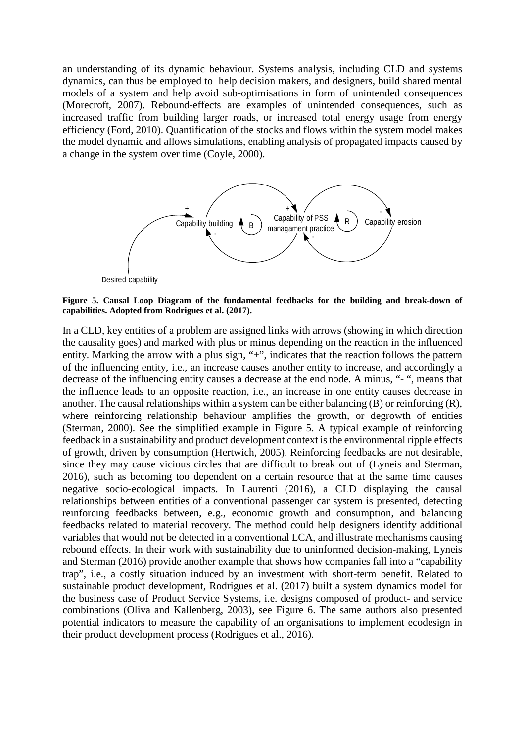an understanding of its dynamic behaviour. Systems analysis, including CLD and systems dynamics, can thus be employed to help decision makers, and designers, build shared mental models of a system and help avoid sub-optimisations in form of unintended consequences (Morecroft, 2007). Rebound-effects are examples of unintended consequences, such as increased traffic from building larger roads, or increased total energy usage from energy efficiency (Ford, 2010). Quantification of the stocks and flows within the system model makes the model dynamic and allows simulations, enabling analysis of propagated impacts caused by a change in the system over time (Coyle, 2000).



**Figure 5. Causal Loop Diagram of the fundamental feedbacks for the building and break-down of capabilities. Adopted from Rodrigues et al. (2017).** 

In a CLD, key entities of a problem are assigned links with arrows (showing in which direction the causality goes) and marked with plus or minus depending on the reaction in the influenced entity. Marking the arrow with a plus sign, "+", indicates that the reaction follows the pattern of the influencing entity, i.e., an increase causes another entity to increase, and accordingly a decrease of the influencing entity causes a decrease at the end node. A minus, "- ", means that the influence leads to an opposite reaction, i.e., an increase in one entity causes decrease in another. The causal relationships within a system can be either balancing (B) or reinforcing (R), where reinforcing relationship behaviour amplifies the growth, or degrowth of entities (Sterman, 2000). See the simplified example in Figure 5. A typical example of reinforcing feedback in a sustainability and product development context is the environmental ripple effects of growth, driven by consumption (Hertwich, 2005). Reinforcing feedbacks are not desirable, since they may cause vicious circles that are difficult to break out of (Lyneis and Sterman, 2016), such as becoming too dependent on a certain resource that at the same time causes negative socio-ecological impacts. In Laurenti (2016), a CLD displaying the causal relationships between entities of a conventional passenger car system is presented, detecting reinforcing feedbacks between, e.g., economic growth and consumption, and balancing feedbacks related to material recovery. The method could help designers identify additional variables that would not be detected in a conventional LCA, and illustrate mechanisms causing rebound effects. In their work with sustainability due to uninformed decision-making, Lyneis and Sterman (2016) provide another example that shows how companies fall into a "capability trap", i.e., a costly situation induced by an investment with short-term benefit. Related to sustainable product development, Rodrigues et al. (2017) built a system dynamics model for the business case of Product Service Systems, i.e. designs composed of product- and service combinations (Oliva and Kallenberg, 2003), see Figure 6. The same authors also presented potential indicators to measure the capability of an organisations to implement ecodesign in their product development process (Rodrigues et al., 2016).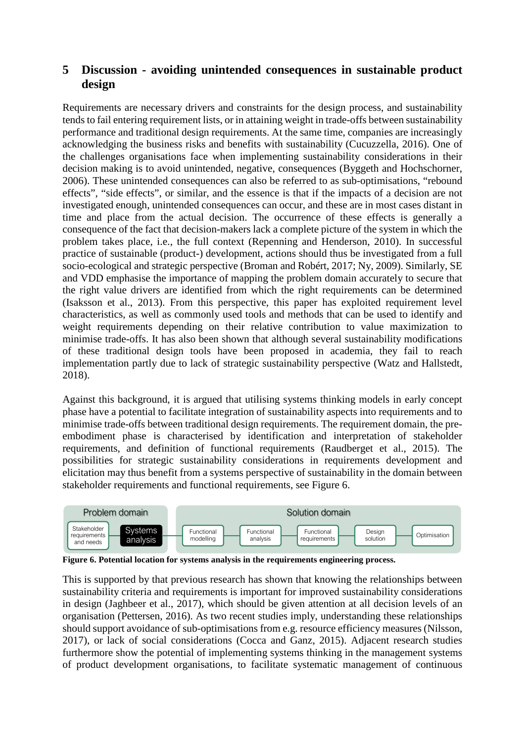## **5 Discussion - avoiding unintended consequences in sustainable product design**

Requirements are necessary drivers and constraints for the design process, and sustainability tends to fail entering requirement lists, or in attaining weight in trade-offs between sustainability performance and traditional design requirements. At the same time, companies are increasingly acknowledging the business risks and benefits with sustainability (Cucuzzella, 2016). One of the challenges organisations face when implementing sustainability considerations in their decision making is to avoid unintended, negative, consequences (Byggeth and Hochschorner, 2006). These unintended consequences can also be referred to as sub-optimisations, "rebound effects", "side effects", or similar, and the essence is that if the impacts of a decision are not investigated enough, unintended consequences can occur, and these are in most cases distant in time and place from the actual decision. The occurrence of these effects is generally a consequence of the fact that decision-makers lack a complete picture of the system in which the problem takes place, i.e., the full context (Repenning and Henderson, 2010). In successful practice of sustainable (product-) development, actions should thus be investigated from a full socio-ecological and strategic perspective (Broman and Robért, 2017; Ny, 2009). Similarly, SE and VDD emphasise the importance of mapping the problem domain accurately to secure that the right value drivers are identified from which the right requirements can be determined (Isaksson et al., 2013). From this perspective, this paper has exploited requirement level characteristics, as well as commonly used tools and methods that can be used to identify and weight requirements depending on their relative contribution to value maximization to minimise trade-offs. It has also been shown that although several sustainability modifications of these traditional design tools have been proposed in academia, they fail to reach implementation partly due to lack of strategic sustainability perspective (Watz and Hallstedt, 2018).

Against this background, it is argued that utilising systems thinking models in early concept phase have a potential to facilitate integration of sustainability aspects into requirements and to minimise trade-offs between traditional design requirements. The requirement domain, the preembodiment phase is characterised by identification and interpretation of stakeholder requirements, and definition of functional requirements (Raudberget et al., 2015). The possibilities for strategic sustainability considerations in requirements development and elicitation may thus benefit from a systems perspective of sustainability in the domain between stakeholder requirements and functional requirements, see Figure 6.



**Figure 6. Potential location for systems analysis in the requirements engineering process.**

This is supported by that previous research has shown that knowing the relationships between sustainability criteria and requirements is important for improved sustainability considerations in design (Jaghbeer et al., 2017), which should be given attention at all decision levels of an organisation (Pettersen, 2016). As two recent studies imply, understanding these relationships should support avoidance of sub-optimisations from e.g. resource efficiency measures (Nilsson, 2017), or lack of social considerations (Cocca and Ganz, 2015). Adjacent research studies furthermore show the potential of implementing systems thinking in the management systems of product development organisations, to facilitate systematic management of continuous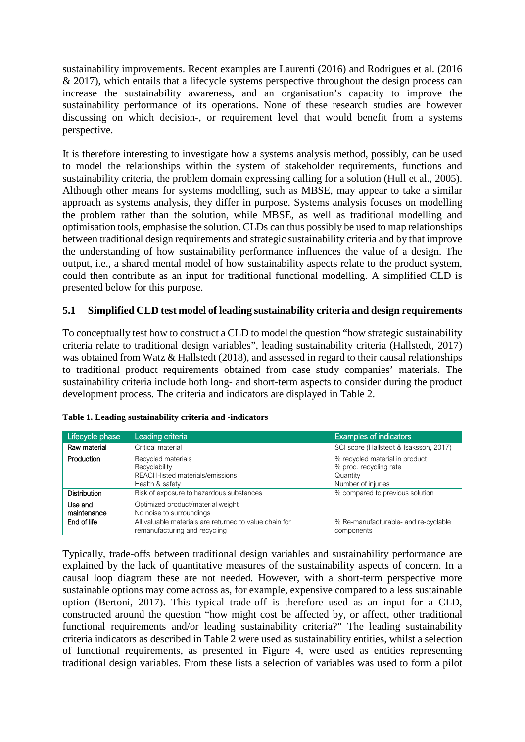sustainability improvements. Recent examples are Laurenti (2016) and Rodrigues et al. (2016  $& 2017$ ), which entails that a lifecycle systems perspective throughout the design process can increase the sustainability awareness, and an organisation's capacity to improve the sustainability performance of its operations. None of these research studies are however discussing on which decision-, or requirement level that would benefit from a systems perspective.

It is therefore interesting to investigate how a systems analysis method, possibly, can be used to model the relationships within the system of stakeholder requirements, functions and sustainability criteria, the problem domain expressing calling for a solution (Hull et al., 2005). Although other means for systems modelling, such as MBSE, may appear to take a similar approach as systems analysis, they differ in purpose. Systems analysis focuses on modelling the problem rather than the solution, while MBSE, as well as traditional modelling and optimisation tools, emphasise the solution. CLDs can thus possibly be used to map relationships between traditional design requirements and strategic sustainability criteria and by that improve the understanding of how sustainability performance influences the value of a design. The output, i.e., a shared mental model of how sustainability aspects relate to the product system, could then contribute as an input for traditional functional modelling. A simplified CLD is presented below for this purpose.

### **5.1 Simplified CLD test model of leading sustainability criteria and design requirements**

To conceptually test how to construct a CLD to model the question "how strategic sustainability criteria relate to traditional design variables", leading sustainability criteria (Hallstedt, 2017) was obtained from Watz & Hallstedt (2018), and assessed in regard to their causal relationships to traditional product requirements obtained from case study companies' materials. The sustainability criteria include both long- and short-term aspects to consider during the product development process. The criteria and indicators are displayed in Table 2.

| Lifecycle phase        | Leading criteria                                                                           | <b>Examples of indicators</b>                                                              |
|------------------------|--------------------------------------------------------------------------------------------|--------------------------------------------------------------------------------------------|
| Raw material           | Critical material                                                                          | SCI score (Hallstedt & Isaksson, 2017)                                                     |
| Production             | Recycled materials<br>Recyclability<br>REACH-listed materials/emissions<br>Health & safety | % recycled material in product<br>% prod. recycling rate<br>Quantity<br>Number of injuries |
| <b>Distribution</b>    | Risk of exposure to hazardous substances<br>% compared to previous solution                |                                                                                            |
| Use and<br>maintenance | Optimized product/material weight<br>No noise to surroundings                              |                                                                                            |
| End of life            | All valuable materials are returned to value chain for<br>remanufacturing and recycling    | % Re-manufacturable- and re-cyclable<br>components                                         |

|  |  |  | Table 1. Leading sustainability criteria and -indicators |
|--|--|--|----------------------------------------------------------|
|--|--|--|----------------------------------------------------------|

Typically, trade-offs between traditional design variables and sustainability performance are explained by the lack of quantitative measures of the sustainability aspects of concern. In a causal loop diagram these are not needed. However, with a short-term perspective more sustainable options may come across as, for example, expensive compared to a less sustainable option (Bertoni, 2017). This typical trade-off is therefore used as an input for a CLD, constructed around the question "how might cost be affected by, or affect, other traditional functional requirements and/or leading sustainability criteria?" The leading sustainability criteria indicators as described in Table 2 were used as sustainability entities, whilst a selection of functional requirements, as presented in Figure 4, were used as entities representing traditional design variables. From these lists a selection of variables was used to form a pilot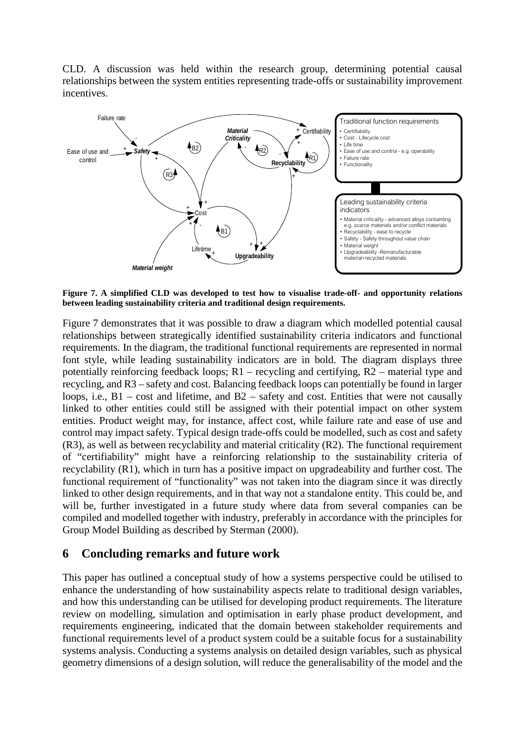CLD. A discussion was held within the research group, determining potential causal relationships between the system entities representing trade-offs or sustainability improvement incentives.



**Figure 7. A simplified CLD was developed to test how to visualise trade-off- and opportunity relations between leading sustainability criteria and traditional design requirements.**

Figure 7 demonstrates that it was possible to draw a diagram which modelled potential causal relationships between strategically identified sustainability criteria indicators and functional requirements. In the diagram, the traditional functional requirements are represented in normal font style, while leading sustainability indicators are in bold. The diagram displays three potentially reinforcing feedback loops; R1 – recycling and certifying, R2 – material type and recycling, and R3 – safety and cost. Balancing feedback loops can potentially be found in larger loops, i.e., B1 – cost and lifetime, and B2 – safety and cost. Entities that were not causally linked to other entities could still be assigned with their potential impact on other system entities. Product weight may, for instance, affect cost, while failure rate and ease of use and control may impact safety. Typical design trade-offs could be modelled, such as cost and safety (R3), as well as between recyclability and material criticality (R2). The functional requirement of "certifiability" might have a reinforcing relationship to the sustainability criteria of recyclability (R1), which in turn has a positive impact on upgradeability and further cost. The functional requirement of "functionality" was not taken into the diagram since it was directly linked to other design requirements, and in that way not a standalone entity. This could be, and will be, further investigated in a future study where data from several companies can be compiled and modelled together with industry, preferably in accordance with the principles for Group Model Building as described by Sterman (2000).

### **6 Concluding remarks and future work**

This paper has outlined a conceptual study of how a systems perspective could be utilised to enhance the understanding of how sustainability aspects relate to traditional design variables, and how this understanding can be utilised for developing product requirements. The literature review on modelling, simulation and optimisation in early phase product development, and requirements engineering, indicated that the domain between stakeholder requirements and functional requirements level of a product system could be a suitable focus for a sustainability systems analysis. Conducting a systems analysis on detailed design variables, such as physical geometry dimensions of a design solution, will reduce the generalisability of the model and the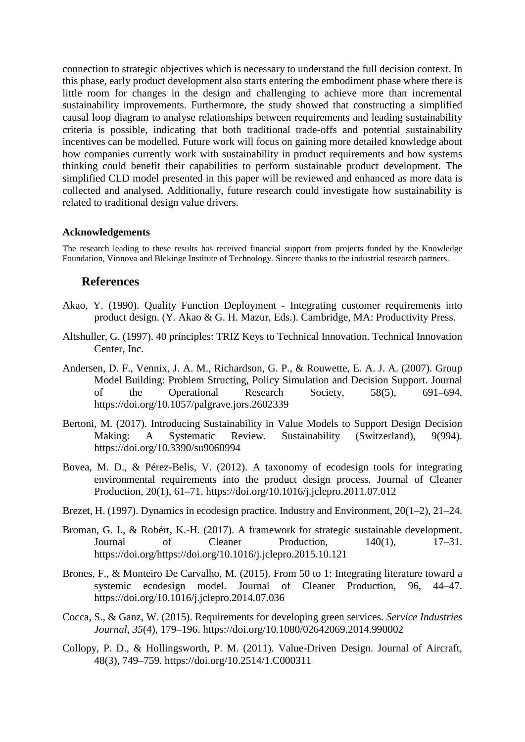connection to strategic objectives which is necessary to understand the full decision context. In this phase, early product development also starts entering the embodiment phase where there is little room for changes in the design and challenging to achieve more than incremental sustainability improvements. Furthermore, the study showed that constructing a simplified causal loop diagram to analyse relationships between requirements and leading sustainability criteria is possible, indicating that both traditional trade-offs and potential sustainability incentives can be modelled. Future work will focus on gaining more detailed knowledge about how companies currently work with sustainability in product requirements and how systems thinking could benefit their capabilities to perform sustainable product development. The simplified CLD model presented in this paper will be reviewed and enhanced as more data is collected and analysed. Additionally, future research could investigate how sustainability is related to traditional design value drivers.

#### **Acknowledgements**

The research leading to these results has received financial support from projects funded by the Knowledge Foundation, Vinnova and Blekinge Institute of Technology. Sincere thanks to the industrial research partners.

#### **References**

- Akao, Y. (1990). Quality Function Deployment Integrating customer requirements into product design. (Y. Akao & G. H. Mazur, Eds.). Cambridge, MA: Productivity Press.
- Altshuller, G. (1997). 40 principles: TRIZ Keys to Technical Innovation. Technical Innovation Center, Inc.
- Andersen, D. F., Vennix, J. A. M., Richardson, G. P., & Rouwette, E. A. J. A. (2007). Group Model Building: Problem Structing, Policy Simulation and Decision Support. Journal of the Operational Research Society, 58(5), 691–694. https://doi.org/10.1057/palgrave.jors.2602339
- Bertoni, M. (2017). Introducing Sustainability in Value Models to Support Design Decision Making: A Systematic Review. Sustainability (Switzerland), 9(994). https://doi.org/10.3390/su9060994
- Bovea, M. D., & Pérez-Belis, V. (2012). A taxonomy of ecodesign tools for integrating environmental requirements into the product design process. Journal of Cleaner Production, 20(1), 61–71. https://doi.org/10.1016/j.jclepro.2011.07.012
- Brezet, H. (1997). Dynamics in ecodesign practice. Industry and Environment, 20(1–2), 21–24.
- Broman, G. I., & Robért, K.-H. (2017). A framework for strategic sustainable development. Journal of Cleaner Production, 140(1), 17–31. https://doi.org/https://doi.org/10.1016/j.jclepro.2015.10.121
- Brones, F., & Monteiro De Carvalho, M. (2015). From 50 to 1: Integrating literature toward a systemic ecodesign model. Journal of Cleaner Production, 96, 44–47. https://doi.org/10.1016/j.jclepro.2014.07.036
- Cocca, S., & Ganz, W. (2015). Requirements for developing green services. *Service Industries Journal*, *35*(4), 179–196. https://doi.org/10.1080/02642069.2014.990002
- Collopy, P. D., & Hollingsworth, P. M. (2011). Value-Driven Design. Journal of Aircraft, 48(3), 749–759. https://doi.org/10.2514/1.C000311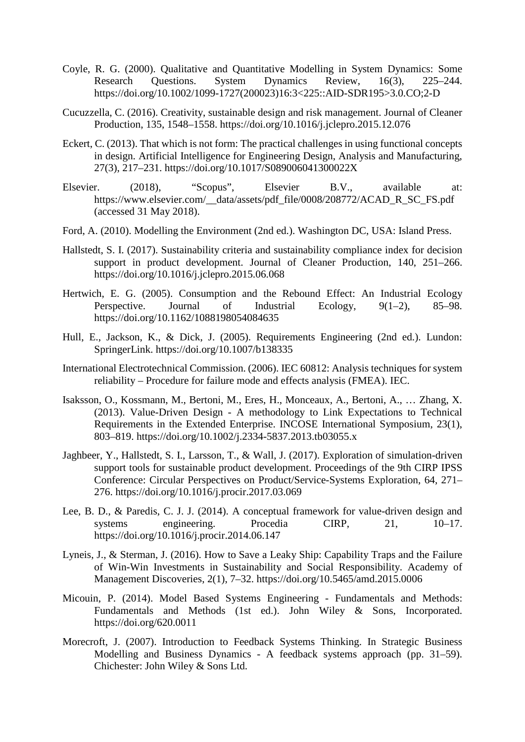- Coyle, R. G. (2000). Qualitative and Quantitative Modelling in System Dynamics: Some Research Questions. System Dynamics Review, 16(3), 225–244. https://doi.org/10.1002/1099-1727(200023)16:3<225::AID-SDR195>3.0.CO;2-D
- Cucuzzella, C. (2016). Creativity, sustainable design and risk management. Journal of Cleaner Production, 135, 1548–1558. https://doi.org/10.1016/j.jclepro.2015.12.076
- Eckert, C. (2013). That which is not form: The practical challenges in using functional concepts in design. Artificial Intelligence for Engineering Design, Analysis and Manufacturing, 27(3), 217–231. https://doi.org/10.1017/S089006041300022X
- Elsevier. (2018), "Scopus", Elsevier B.V., available at: https://www.elsevier.com/\_\_data/assets/pdf\_file/0008/208772/ACAD\_R\_SC\_FS.pdf (accessed 31 May 2018).
- Ford, A. (2010). Modelling the Environment (2nd ed.). Washington DC, USA: Island Press.
- Hallstedt, S. I. (2017). Sustainability criteria and sustainability compliance index for decision support in product development. Journal of Cleaner Production, 140, 251–266. https://doi.org/10.1016/j.jclepro.2015.06.068
- Hertwich, E. G. (2005). Consumption and the Rebound Effect: An Industrial Ecology Perspective. Journal of Industrial Ecology,  $9(1-2)$ , 85–98. https://doi.org/10.1162/1088198054084635
- Hull, E., Jackson, K., & Dick, J. (2005). Requirements Engineering (2nd ed.). Lundon: SpringerLink. https://doi.org/10.1007/b138335
- International Electrotechnical Commission. (2006). IEC 60812: Analysis techniques for system reliability – Procedure for failure mode and effects analysis (FMEA). IEC.
- Isaksson, O., Kossmann, M., Bertoni, M., Eres, H., Monceaux, A., Bertoni, A., … Zhang, X. (2013). Value-Driven Design - A methodology to Link Expectations to Technical Requirements in the Extended Enterprise. INCOSE International Symposium, 23(1), 803–819. https://doi.org/10.1002/j.2334-5837.2013.tb03055.x
- Jaghbeer, Y., Hallstedt, S. I., Larsson, T., & Wall, J. (2017). Exploration of simulation-driven support tools for sustainable product development. Proceedings of the 9th CIRP IPSS Conference: Circular Perspectives on Product/Service-Systems Exploration, 64, 271– 276. https://doi.org/10.1016/j.procir.2017.03.069
- Lee, B. D., & Paredis, C. J. J. (2014). A conceptual framework for value-driven design and systems engineering. Procedia CIRP, 21, 10–17. https://doi.org/10.1016/j.procir.2014.06.147
- Lyneis, J., & Sterman, J. (2016). How to Save a Leaky Ship: Capability Traps and the Failure of Win-Win Investments in Sustainability and Social Responsibility. Academy of Management Discoveries, 2(1), 7–32. https://doi.org/10.5465/amd.2015.0006
- Micouin, P. (2014). Model Based Systems Engineering Fundamentals and Methods: Fundamentals and Methods (1st ed.). John Wiley & Sons, Incorporated. https://doi.org/620.0011
- Morecroft, J. (2007). Introduction to Feedback Systems Thinking. In Strategic Business Modelling and Business Dynamics - A feedback systems approach (pp. 31–59). Chichester: John Wiley & Sons Ltd.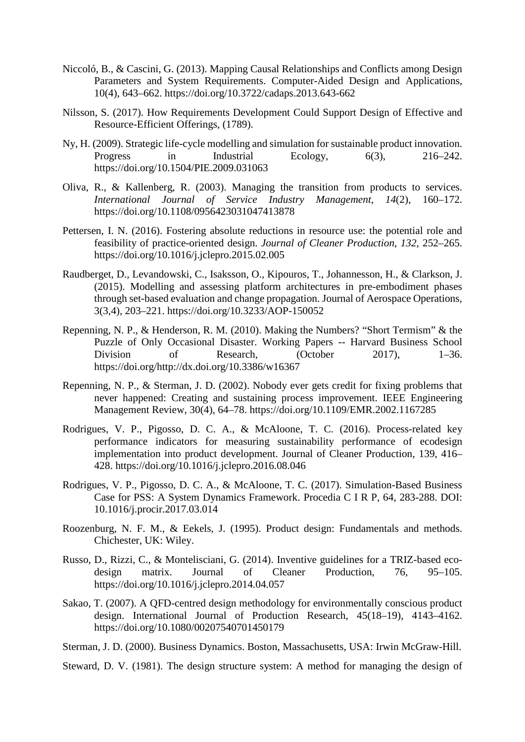- Niccoló, B., & Cascini, G. (2013). Mapping Causal Relationships and Conflicts among Design Parameters and System Requirements. Computer-Aided Design and Applications, 10(4), 643–662. https://doi.org/10.3722/cadaps.2013.643-662
- Nilsson, S. (2017). How Requirements Development Could Support Design of Effective and Resource-Efficient Offerings, (1789).
- Ny, H. (2009). Strategic life-cycle modelling and simulation for sustainable product innovation. Progress in Industrial Ecology, 6(3), 216–242. https://doi.org/10.1504/PIE.2009.031063
- Oliva, R., & Kallenberg, R. (2003). Managing the transition from products to services. *International Journal of Service Industry Management*, *14*(2), 160–172. https://doi.org/10.1108/0956423031047413878
- Pettersen, I. N. (2016). Fostering absolute reductions in resource use: the potential role and feasibility of practice-oriented design. *Journal of Cleaner Production*, *132*, 252–265. https://doi.org/10.1016/j.jclepro.2015.02.005
- Raudberget, D., Levandowski, C., Isaksson, O., Kipouros, T., Johannesson, H., & Clarkson, J. (2015). Modelling and assessing platform architectures in pre-embodiment phases through set-based evaluation and change propagation. Journal of Aerospace Operations, 3(3,4), 203–221. https://doi.org/10.3233/AOP-150052
- Repenning, N. P., & Henderson, R. M. (2010). Making the Numbers? "Short Termism" & the Puzzle of Only Occasional Disaster. Working Papers -- Harvard Business School Division of Research, (October 2017), 1–36. https://doi.org/http://dx.doi.org/10.3386/w16367
- Repenning, N. P., & Sterman, J. D. (2002). Nobody ever gets credit for fixing problems that never happened: Creating and sustaining process improvement. IEEE Engineering Management Review, 30(4), 64–78. https://doi.org/10.1109/EMR.2002.1167285
- Rodrigues, V. P., Pigosso, D. C. A., & McAloone, T. C. (2016). Process-related key performance indicators for measuring sustainability performance of ecodesign implementation into product development. Journal of Cleaner Production, 139, 416– 428. https://doi.org/10.1016/j.jclepro.2016.08.046
- Rodrigues, V. P., Pigosso, D. C. A., & McAloone, T. C. (2017). Simulation-Based Business Case for PSS: A System Dynamics Framework. Procedia C I R P, 64, 283-288. DOI: 10.1016/j.procir.2017.03.014
- Roozenburg, N. F. M., & Eekels, J. (1995). Product design: Fundamentals and methods. Chichester, UK: Wiley.
- Russo, D., Rizzi, C., & Montelisciani, G. (2014). Inventive guidelines for a TRIZ-based ecodesign matrix. Journal of Cleaner Production, 76, 95–105. https://doi.org/10.1016/j.jclepro.2014.04.057
- Sakao, T. (2007). A QFD-centred design methodology for environmentally conscious product design. International Journal of Production Research, 45(18–19), 4143–4162. https://doi.org/10.1080/00207540701450179
- Sterman, J. D. (2000). Business Dynamics. Boston, Massachusetts, USA: Irwin McGraw-Hill.
- Steward, D. V. (1981). The design structure system: A method for managing the design of